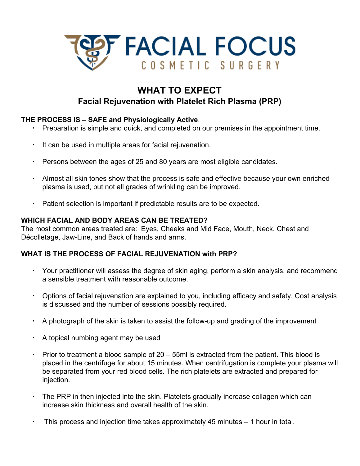

# **WHAT TO EXPECT Facial Rejuvenation with Platelet Rich Plasma (PRP)**

# **THE PROCESS IS – SAFE and Physiologically Active**.

- Preparation is simple and quick, and completed on our premises in the appointment time.
- It can be used in multiple areas for facial rejuvenation.
- Persons between the ages of 25 and 80 years are most eligible candidates.
- Almost all skin tones show that the process is safe and effective because your own enriched plasma is used, but not all grades of wrinkling can be improved.
- Patient selection is important if predictable results are to be expected.

#### **WHICH FACIAL AND BODY AREAS CAN BE TREATED?**

The most common areas treated are: Eyes, Cheeks and Mid Face, Mouth, Neck, Chest and Décolletage, Jaw-Line, and Back of hands and arms.

# **WHAT IS THE PROCESS OF FACIAL REJUVENATION with PRP?**

- Your practitioner will assess the degree of skin aging, perform a skin analysis, and recommend a sensible treatment with reasonable outcome.
- Options of facial rejuvenation are explained to you, including efficacy and safety. Cost analysis is discussed and the number of sessions possibly required.
- $\cdot$  A photograph of the skin is taken to assist the follow-up and grading of the improvement
- $\cdot$  A topical numbing agent may be used
- Prior to treatment a blood sample of 20 55ml is extracted from the patient. This blood is placed in the centrifuge for about 15 minutes. When centrifugation is complete your plasma will be separated from your red blood cells. The rich platelets are extracted and prepared for injection.
- The PRP in then injected into the skin. Platelets gradually increase collagen which can increase skin thickness and overall health of the skin.
- This process and injection time takes approximately 45 minutes  $-1$  hour in total.